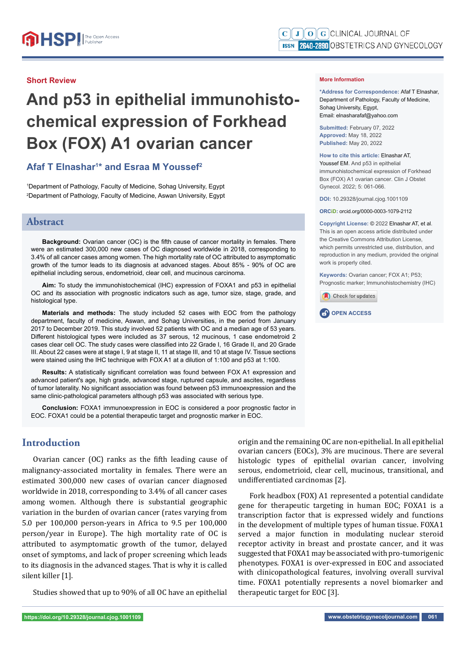#### **Short Review**

# **And p53 in epithelial immunohistochemical expression of Forkhead Box (FOX) A1 ovarian cancer**

## **Afaf T Elnashar1 \* and Esraa M Youssef2**

1 Department of Pathology, Faculty of Medicine, Sohag University, Egypt 2 Department of Pathology, Faculty of Medicine, Aswan University, Egypt

## **Abstract**

**Background:** Ovarian cancer (OC) is the fifth cause of cancer mortality in females. There were an estimated 300,000 new cases of OC diagnosed worldwide in 2018, corresponding to 3.4% of all cancer cases among women. The high mortality rate of OC attributed to asymptomatic growth of the tumor leads to its diagnosis at advanced stages. About 85% - 90% of OC are epithelial including serous, endometrioid, clear cell, and mucinous carcinoma.

**Aim:** To study the immunohistochemical (IHC) expression of FOXA1 and p53 in epithelial OC and its association with prognostic indicators such as age, tumor size, stage, grade, and histological type.

**Materials and methods:** The study included 52 cases with EOC from the pathology department, faculty of medicine, Aswan, and Sohag Universities, in the period from January 2017 to December 2019. This study involved 52 patients with OC and a median age of 53 years. Different histological types were included as 37 serous, 12 mucinous, 1 case endometroid 2 cases clear cell OC. The study cases were classified into 22 Grade I, 16 Grade II, and 20 Grade III. About 22 cases were at stage I, 9 at stage II, 11 at stage III, and 10 at stage IV. Tissue sections were stained using the IHC technique with FOX A1 at a dilution of 1:100 and p53 at 1:100.

**Results:** A statistically significant correlation was found between FOX A1 expression and advanced patient's age, high grade, advanced stage, ruptured capsule, and ascites, regardless of tumor laterality. No significant association was found between p53 immunoexpression and the same clinic-pathological parameters although p53 was associated with serious type.

**Conclusion:** FOXA1 immunoexpression in EOC is considered a poor prognostic factor in EOC. FOXA1 could be a potential therapeutic target and prognostic marker in EOC.

# **Introduction**

Ovarian cancer (OC) ranks as the fifth leading cause of malignancy-associated mortality in females. There were an estimated 300,000 new cases of ovarian cancer diagnosed worldwide in 2018, corresponding to 3.4% of all cancer cases among women. Although there is substantial geographic variation in the burden of ovarian cancer (rates varying from 5.0 per 100,000 person-years in Africa to 9.5 per 100,000 person/year in Europe). The high mortality rate of OC is attributed to asymptomatic growth of the tumor, delayed onset of symptoms, and lack of proper screening which leads to its diagnosis in the advanced stages. That is why it is called silent killer [1].

Studies showed that up to 90% of all OC have an epithelial

**\*Address for Correspondence:** Afaf T Elnashar, Department of Pathology, Faculty of Medicine, Sohag University, Egypt, Email: elnasharafaf@yahoo.com

**Submitted:** February 07, 2022 **Approved:** May 18, 2022 **Published:** May 20, 2022

#### **How to cite this article:** Elnashar AT,

Youssef EM. And p53 in epithelial immunohistochemical expression of Forkhead Box (FOX) A1 ovarian cancer. Clin J Obstet Gynecol. 2022; 5: 061-066.

**DOI:** 10.29328/journal.cjog.1001109

**ORCiD:** orcid.org/0000-0003-1079-2112

**Copyright License: ©** 2022 Elnashar AT, et al. This is an open access article distributed under the Creative Commons Attribution License, which permits unrestricted use, distribution, and reproduction in any medium, provided the original work is properly cited.

**Keywords:** Ovarian cancer; FOX A1; P53; Prognostic marker; Immunohistochemistry (IHC)





origin and the remaining OC are non-epithelial. In all epithelial ovarian cancers (EOCs), 3% are mucinous. There are several histologic types of epithelial ovarian cancer, involving serous, endometrioid, clear cell, mucinous, transitional, and undifferentiated carcinomas [2].

Fork headbox (FOX) A1 represented a potential candidate gene for therapeutic targeting in human EOC; FOXA1 is a transcription factor that is expressed widely and functions in the development of multiple types of human tissue. FOXA1 served a major function in modulating nuclear steroid receptor activity in breast and prostate cancer, and it was suggested that FOXA1 may be associated with pro-tumorigenic phenotypes. FOXA1 is over-expressed in EOC and associated with clinicopathological features, involving overall survival time. FOXA1 potentially represents a novel biomarker and therapeutic target for EOC [3].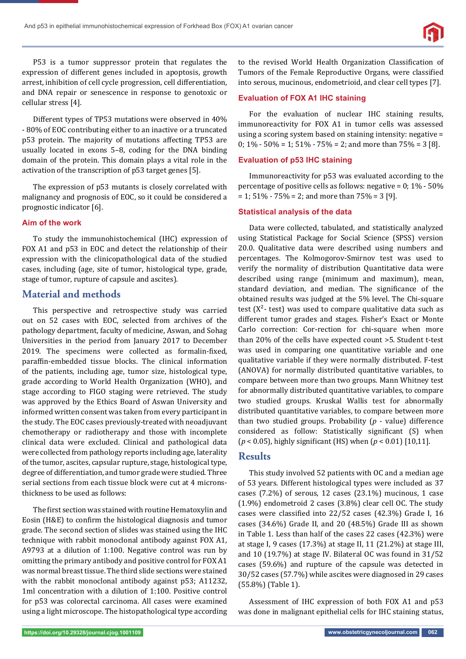

P53 is a tumor suppressor protein that regulates the expression of different genes included in apoptosis, growth arrest, inhibition of cell cycle progression, cell differentiation, and DNA repair or senescence in response to genotoxic or cellular stress [4].

Different types of TP53 mutations were observed in 40% - 80% of EOC contributing either to an inactive or a truncated p53 protein. The majority of mutations affecting TP53 are usually located in exons 5–8, coding for the DNA binding domain of the protein. This domain plays a vital role in the activation of the transcription of p53 target genes [5].

The expression of p53 mutants is closely correlated with malignancy and prognosis of EOC, so it could be considered a prognostic indicator [6].

#### **Aim of the work**

To study the immunohistochemical (IHC) expression of FOX A1 and p53 in EOC and detect the relationship of their expression with the clinicopathological data of the studied cases, including (age, site of tumor, histological type, grade, stage of tumor, rupture of capsule and ascites).

#### **Material and methods**

 This perspective and retrospective study was carried out on 52 cases with EOC, selected from archives of the pathology department, faculty of medicine, Aswan, and Sohag Universities in the period from January 2017 to December 2019. The specimens were collected as formalin-fixed, paraffin-embedded tissue blocks. The clinical information of the patients, including age, tumor size, histological type, grade according to World Health Organization (WHO), and stage according to FIGO staging were retrieved. The study was approved by the Ethics Board of Aswan University and informed written consent was taken from every participant in the study. The EOC cases previously-treated with neoadjuvant chemotherapy or radiotherapy and those with incomplete clinical data were excluded. Clinical and pathological data were collected from pathology reports including age, laterality of the tumor, ascites, capsular rupture, stage, histological type, degree of differentiation, and tumor grade were studied. Three serial sections from each tissue block were cut at 4 micronsthickness to be used as follows:

The first section was stained with routine Hematoxylin and Eosin (H&E) to confirm the histological diagnosis and tumor grade. The second section of slides was stained using the IHC technique with rabbit monoclonal antibody against FOX A1, A9793 at a dilution of 1:100. Negative control was run by omitting the primary antibody and positive control for FOX A1 was normal breast tissue. The third slide sections were stained with the rabbit monoclonal antibody against p53; A11232, 1ml concentration with a dilution of 1:100. Positive control for p53 was colorectal carcinoma. All cases were examined using a light microscope. The histopathological type according to the revised World Health Organization Classification of Tumors of the Female Reproductive Organs, were classified into serous, mucinous, endometrioid, and clear cell types [7].

#### **Evaluation of FOX A1 IHC staining**

For the evaluation of nuclear IHC staining results, immunoreactivity for FOX A1 in tumor cells was assessed using a scoring system based on staining intensity: negative = 0;  $1\% - 50\% = 1$ ;  $51\% - 75\% = 2$ ; and more than  $75\% = 3$  [8].

#### **Evaluation of p53 IHC staining**

Immunoreactivity for p53 was evaluated according to the percentage of positive cells as follows: negative =  $0; 1\%$  -  $50\%$  $= 1$ ; 51% - 75% = 2; and more than 75% = 3 [9].

#### **Statistical analysis of the data**

Data were collected, tabulated, and statistically analyzed using Statistical Package for Social Science (SPSS) version 20.0. Qualitative data were described using numbers and percentages. The Kolmogorov-Smirnov test was used to verify the normality of distribution Quantitative data were described using range (minimum and maximum), mean, standard deviation, and median. The significance of the obtained results was judged at the 5% level. The Chi-square test  $(X^2$ - test) was used to compare qualitative data such as different tumor grades and stages. Fisher's Exact or Monte Carlo correction: Cor-rection for chi-square when more than 20% of the cells have expected count >5. Student t-test was used in comparing one quantitative variable and one qualitative variable if they were normally distributed. F-test (ANOVA) for normally distributed quantitative variables, to compare between more than two groups. Mann Whitney test for abnormally distributed quantitative variables, to compare two studied groups. Kruskal Wallis test for abnormally distributed quantitative variables, to compare between more than two studied groups. Probability (*p* - value) difference considered as follow: Statistically significant (S) when  $(p < 0.05)$ , highly significant (HS) when  $(p < 0.01)$  [10,11].

#### **Results**

This study involved 52 patients with OC and a median age of 53 years. Different histological types were included as 37 cases (7.2%) of serous, 12 cases (23.1%) mucinous, 1 case (1.9%) endometroid 2 cases (3.8%) clear cell OC. The study cases were classified into 22/52 cases (42.3%) Grade I, 16 cases (34.6%) Grade II, and 20 (48.5%) Grade III as shown in Table 1. Less than half of the cases 22 cases (42.3%) were at stage I, 9 cases (17.3%) at stage II, 11 (21.2%) at stage III, and 10 (19.7%) at stage IV. Bilateral OC was found in 31/52 cases (59.6%) and rupture of the capsule was detected in 30/52 cases (57.7%) while ascites were diagnosed in 29 cases (55.8%) (Table 1).

Assessment of IHC expression of both FOX A1 and p53 was done in malignant epithelial cells for IHC staining status,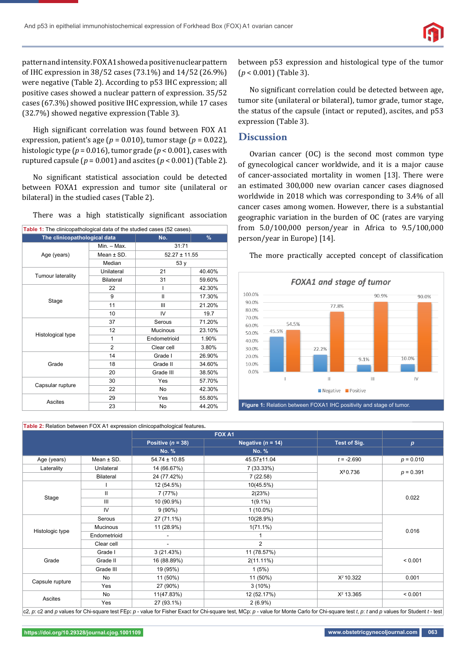pattern and intensity. FOX A1 showed a positive nuclear pattern of IHC expression in 38/52 cases (73.1%) and 14/52 (26.9%) were negative (Table 2). According to p53 IHC expression; all positive cases showed a nuclear pattern of expression. 35/52 cases (67.3%) showed positive IHC expression, while 17 cases (32.7%) showed negative expression (Table 3).

High significant correlation was found between FOX A1 expression, patient's age ( $p = 0.010$ ), tumor stage ( $p = 0.022$ ), histologic type ( $p = 0.016$ ), tumor grade ( $p < 0.001$ ), cases with ruptured capsule ( $p = 0.001$ ) and ascites ( $p < 0.001$ ) (Table 2).

No significant statistical association could be detected between FOXA1 expression and tumor site (unilateral or bilateral) in the studied cases (Table 2).

There was a high statistically significant association

| Table 1: The clinicopathological data of the studied cases (52 cases). |                |                   |        |
|------------------------------------------------------------------------|----------------|-------------------|--------|
| The clinicopathological data                                           |                | No.               | $\%$   |
| Age (years)                                                            | $Min. - Max.$  | 31:71             |        |
|                                                                        | Mean $\pm$ SD. | $52.27 \pm 11.55$ |        |
|                                                                        | Median         | 53y               |        |
|                                                                        | Unilateral     | 21                | 40.40% |
| <b>Tumour laterality</b>                                               | Bilateral      | 31                | 59.60% |
|                                                                        | 22             |                   | 42.30% |
| Stage                                                                  | 9              | Ш                 | 17.30% |
|                                                                        | 11             | Ш                 | 21.20% |
|                                                                        | 10             | IV                | 19.7   |
|                                                                        | 37             | Serous            | 71.20% |
|                                                                        | 12             | Mucinous          | 23.10% |
| Histological type                                                      | 1              | Endometrioid      | 1.90%  |
|                                                                        | 2              | Clear cell        | 3.80%  |
|                                                                        | 14             | Grade I           | 26.90% |
| Grade                                                                  | 18             | Grade II          | 34.60% |
|                                                                        | 20             | Grade III         | 38.50% |
| Capsular rupture                                                       | 30             | Yes               | 57.70% |
|                                                                        | 22             | No                | 42.30% |
| Ascites                                                                | 29             | Yes               | 55.80% |
|                                                                        | 23             | No                | 44.20% |

**Table 2:** Relation between FOX A1 expression clinicopathological features**.**

between p53 expression and histological type of the tumor (*p* < 0.001) (Table 3).

No significant correlation could be detected between age, tumor site (unilateral or bilateral), tumor grade, tumor stage, the status of the capsule (intact or reputed), ascites, and p53 expression (Table 3).

#### **Discussion**

Ovarian cancer (OC) is the second most common type of gynecological cancer worldwide, and it is a major cause of cancer-associated mortality in women [13]. There were an estimated 300,000 new ovarian cancer cases diagnosed worldwide in 2018 which was corresponding to 3.4% of all cancer cases among women. However, there is a substantial geographic variation in the burden of OC (rates are varying from 5.0/100,000 person/year in Africa to 9.5/100,000 person/year in Europe) [14].



The more practically accepted concept of classification

|                 |                  | FOX A1                |                       |              |             |
|-----------------|------------------|-----------------------|-----------------------|--------------|-------------|
|                 |                  | Positive ( $n = 38$ ) | Negative ( $n = 14$ ) | Test of Sig. | p           |
|                 |                  | <b>No. %</b>          | <b>No. %</b>          |              |             |
| Age (years)     | Mean $\pm$ SD.   | $54.74 \pm 10.85$     | 45.57±11.04           | $t = -2.690$ | $p = 0.010$ |
| Laterality      | Unilateral       | 14 (66.67%)           | 7 (33.33%)            |              | $p = 0.391$ |
|                 | <b>Bilateral</b> | 24 (77.42%)           | 7(22.58)              | $X^2 0.736$  |             |
| Stage           |                  | 12 (54.5%)            | 10(45.5%)             |              |             |
|                 | Ш                | 7 (77%)               | 2(23%)                |              |             |
|                 | Ш                | 10 (90.9%)            | $1(9.1\%)$            |              | 0.022       |
|                 | IV               | $9(90\%)$             | $1(10.0\%)$           |              |             |
| Histologic type | Serous           | 27 (71.1%)            | 10(28.9%)             |              | 0.016       |
|                 | Mucinous         | 11 (28.9%)            | $1(71.1\%)$           |              |             |
|                 | Endometrioid     | $\blacksquare$        |                       |              |             |
|                 | Clear cell       |                       | $\overline{2}$        |              |             |
| Grade           | Grade I          | 3(21.43%)             | 11 (78.57%)           |              | < 0.001     |
|                 | Grade II         | 16 (88.89%)           | $2(11.11\%)$          |              |             |
|                 | Grade III        | 19 (95%)              | 1(5%)                 |              |             |
| Capsule rupture | No               | 11 (50%)              | 11 (50%)              | $X^2$ 10.322 | 0.001       |
|                 | Yes              | 27 (90%)              | $3(10\%)$             |              |             |
| Ascites         | No               | 11(47.83%)            | 12 (52.17%)           | $X^2$ 13.365 | < 0.001     |
|                 | Yes              | 27 (93.1%)            | $2(6.9\%)$            |              |             |

c2, *p*: c2 and *p* values for Chi-square test FEp: *p* - value for Fisher Exact for Chi-square test, MCp: *p* - value for Monte Carlo for Chi-square test *t, p*: *t* and *p* values for Student *t* - test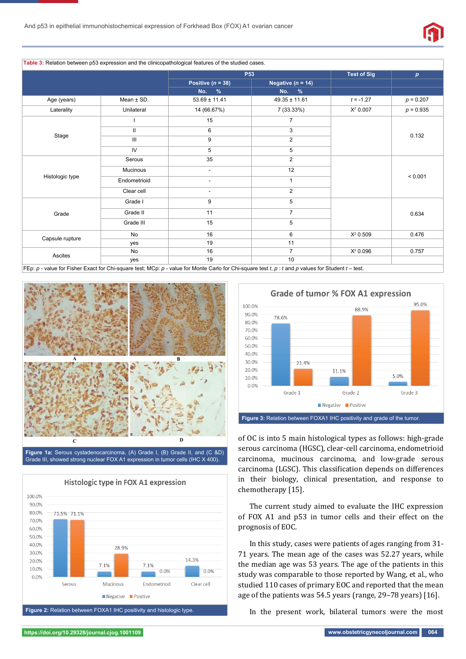

**Table 3:** Relation between p53 expression and the clinicopathological features of the studied cases.

|                 |                | <b>P53</b>                                     |                   | <b>Test of Sig</b> | $\boldsymbol{p}$ |
|-----------------|----------------|------------------------------------------------|-------------------|--------------------|------------------|
|                 |                | Positive ( $n = 38$ )<br>Negative ( $n = 14$ ) |                   |                    |                  |
|                 |                | No. %                                          | $\%$<br>No.       |                    |                  |
| Age (years)     | Mean $\pm$ SD. | $53.69 \pm 11.41$                              | $49.35 \pm 11.61$ | $t = -1.27$        | $p = 0.207$      |
| Laterality      | Unilateral     | 14 (66.67%)                                    | 7 (33.33%)        | $X^2$ 0.007        | $p = 0.935$      |
| Stage           |                | 15                                             | $\overline{7}$    |                    | 0.132            |
|                 | Ш              | 6                                              | 3                 |                    |                  |
|                 | Ш              | 9                                              | $\overline{2}$    |                    |                  |
|                 | IV             | 5                                              | 5                 |                    |                  |
| Histologic type | Serous         | 35                                             | $\overline{2}$    |                    | < 0.001          |
|                 | Mucinous       | $\overline{\phantom{a}}$                       | 12                |                    |                  |
|                 | Endometrioid   | $\overline{\phantom{a}}$                       | 1                 |                    |                  |
|                 | Clear cell     | $\overline{\phantom{a}}$                       | 2                 |                    |                  |
| Grade           | Grade I        | 9                                              | 5                 |                    | 0.634            |
|                 | Grade II       | 11                                             | $\overline{7}$    |                    |                  |
|                 | Grade III      | 15                                             | 5                 |                    |                  |
| Capsule rupture | No             | 16                                             | 6                 | $X^2$ 0.509        | 0.476            |
|                 | yes            | 19                                             | 11                |                    |                  |
| Ascites         | No             | 16                                             | $\overline{7}$    | $X^2$ 0.096        | 0.757            |
|                 | yes            | 19                                             | 10                |                    |                  |

FEp: *p* - value for Fisher Exact for Chi-square test; MCp: *p* - value for Monte Carlo for Chi-square test *t*, *p* : *t* and *p* values for Student *t* – test.



**Figure 1a:** Serous cystadenocarcinoma, (A) Grade I, (B) Grade II, and (C &D) Grade III, showed strong nuclear FOX A1 expression in tumor cells (IHC X 400).



**Figure 2:** Relation between FOXA1 IHC positivity and histologic type.



of OC is into 5 main histological types as follows: high-grade serous carcinoma (HGSC), clear-cell carcinoma, endometrioid carcinoma, mucinous carcinoma, and low-grade serous carcinoma (LGSC). This classification depends on differences in their biology, clinical presentation, and response to chemotherapy [15].

The current study aimed to evaluate the IHC expression of FOX A1 and p53 in tumor cells and their effect on the prognosis of EOC.

In this study, cases were patients of ages ranging from 31- 71 years. The mean age of the cases was 52.27 years, while the median age was 53 years. The age of the patients in this study was comparable to those reported by Wang, et al., who studied 110 cases of primary EOC and reported that the mean age of the patients was 54.5 years (range, 29–78 years) [16].

In the present work, bilateral tumors were the most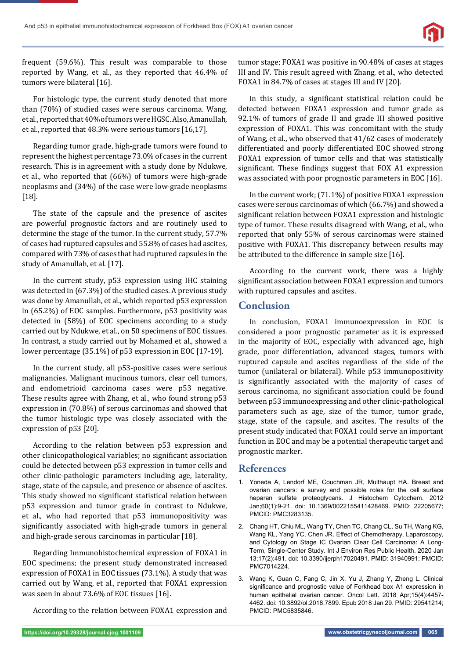

frequent (59.6%). This result was comparable to those reported by Wang, et al., as they reported that 46.4% of tumors were bilateral [16].

For histologic type, the current study denoted that more than (70%) of studied cases were serous carcinoma. Wang, et al., reported that 40% of tumors were HGSC. Also, Amanullah, et al., reported that 48.3% were serious tumors [16,17].

Regarding tumor grade, high-grade tumors were found to represent the highest percentage 73.0% of cases in the current research. This is in agreement with a study done by Ndukwe, et al., who reported that (66%) of tumors were high-grade neoplasms and (34%) of the case were low-grade neoplasms [18].

The state of the capsule and the presence of ascites are powerful prognostic factors and are routinely used to determine the stage of the tumor. In the current study, 57.7% of cases had ruptured capsules and 55.8% of cases had ascites, compared with 73% of cases that had ruptured capsules in the study of Amanullah, et al. [17].

In the current study, p53 expression using IHC staining was detected in (67.3%) of the studied cases. A previous study was done by Amanullah, et al., which reported p53 expression in (65.2%) of EOC samples. Furthermore, p53 positivity was detected in (58%) of EOC specimens according to a study carried out by Ndukwe, et al., on 50 specimens of EOC tissues. In contrast, a study carried out by Mohamed et al., showed a lower percentage (35.1%) of p53 expression in EOC [17-19].

In the current study, all p53-positive cases were serious malignancies. Malignant mucinous tumors, clear cell tumors, and endometrioid carcinoma cases were p53 negative. These results agree with Zhang, et al., who found strong p53 expression in (70.8%) of serous carcinomas and showed that the tumor histologic type was closely associated with the expression of p53 [20].

According to the relation between p53 expression and other clinicopathological variables; no significant association could be detected between p53 expression in tumor cells and other clinic-pathologic parameters including age, laterality, stage, state of the capsule, and presence or absence of ascites. This study showed no significant statistical relation between p53 expression and tumor grade in contrast to Ndukwe, et al., who had reported that p53 immunopositivity was significantly associated with high-grade tumors in general and high-grade serous carcinomas in particular [18].

Regarding Immunohistochemical expression of FOXA1 in EOC specimens; the present study demonstrated increased expression of FOXA1 in EOC tissues (73.1%). A study that was carried out by Wang, et al., reported that FOXA1 expression was seen in about 73.6% of EOC tissues [16].

According to the relation between FOXA1 expression and

tumor stage; FOXA1 was positive in 90.48% of cases at stages III and IV. This result agreed with Zhang, et al., who detected FOXA1 in 84.7% of cases at stages III and IV [20].

In this study, a significant statistical relation could be detected between FOXA1 expression and tumor grade as 92.1% of tumors of grade II and grade III showed positive expression of FOXA1. This was concomitant with the study of Wang, et al., who observed that 41/62 cases of moderately differentiated and poorly differentiated EOC showed strong FOXA1 expression of tumor cells and that was statistically significant. These findings suggest that FOX A1 expression was associated with poor prognostic parameters in EOC [16].

In the current work; (71.1%) of positive FOXA1 expression cases were serous carcinomas of which (66.7%) and showed a significant relation between FOXA1 expression and histologic type of tumor. These results disagreed with Wang, et al., who reported that only 55% of serous carcinomas were stained positive with FOXA1. This discrepancy between results may be attributed to the difference in sample size [16].

According to the current work, there was a highly significant association between FOXA1 expression and tumors with ruptured capsules and ascites.

## **Conclusion**

In conclusion, FOXA1 immunoexpression in EOC is considered a poor prognostic parameter as it is expressed in the majority of EOC, especially with advanced age, high grade, poor differentiation, advanced stages, tumors with ruptured capsule and ascites regardless of the side of the tumor (unilateral or bilateral). While p53 immunopositivity is significantly associated with the majority of cases of serous carcinoma, no significant association could be found between p53 immunoexpressing and other clinic-pathological parameters such as age, size of the tumor, tumor grade, stage, state of the capsule, and ascites. The results of the present study indicated that FOXA1 could serve an important function in EOC and may be a potential therapeutic target and prognostic marker.

## **References**

- 1. Yoneda A, Lendorf ME, Couchman JR, Multhaupt HA. Breast and ovarian cancers: a survey and possible roles for the cell surface heparan sulfate proteoglycans. J Histochem Cytochem. 2012 Jan;60(1):9-21. doi: 10.1369/0022155411428469. PMID: 22205677; PMCID: PMC3283135.
- 2. Chang HT, Chiu ML, Wang TY, Chen TC, Chang CL, Su TH, Wang KG, Wang KL, Yang YC, Chen JR. Effect of Chemotherapy, Laparoscopy, and Cytology on Stage IC Ovarian Clear Cell Carcinoma: A Long-Term, Single-Center Study. Int J Environ Res Public Health. 2020 Jan 13;17(2):491. doi: 10.3390/ijerph17020491. PMID: 31940991; PMCID: PMC7014224.
- 3. Wang K, Guan C, Fang C, Jin X, Yu J, Zhang Y, Zheng L. Clinical significance and prognostic value of Forkhead box A1 expression in human epithelial ovarian cancer. Oncol Lett. 2018 Apr;15(4):4457- 4462. doi: 10.3892/ol.2018.7899. Epub 2018 Jan 29. PMID: 29541214; PMCID: PMC5835846.